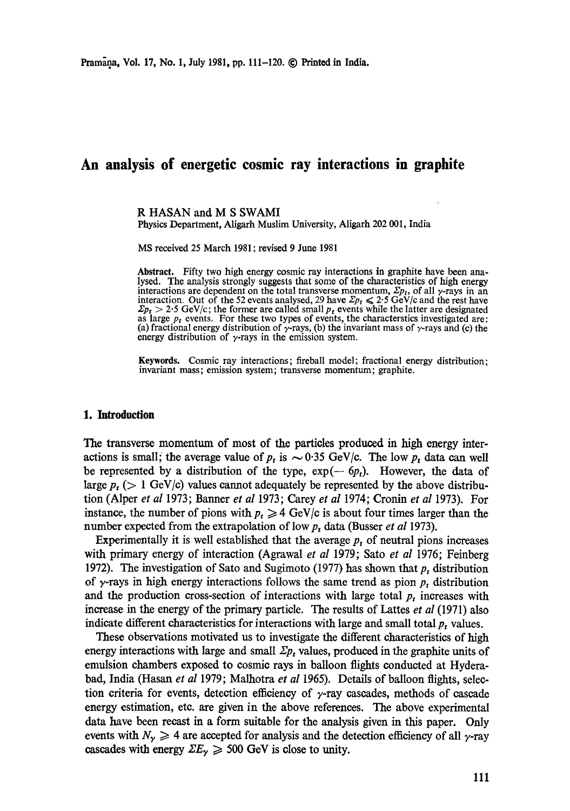# **An analysis of energetic cosmic ray interactions in graphite**

R HASAN and M S SWAMI

Physics Department, Aligarh Muslim University, Aligarh 202 001, India

MS received 25 March 1981 ; revised 9 June 1981

**Abstract.** Fifty two high energy cosmic ray interactions in graphite have been analysed. The analysis strongly suggests that some of the characteristics of high energy interactions are dependent on the total transverse momentum,  $\Sigma p_t$ , of all  $\gamma$ -rays in an interaction. Out of the 52 events analysed, 29 have  $\Sigma p_t \leq 2.5$  GeV/c and the rest have  $\sum p_t > 2.5$  GeV/c; the former are called small  $p_t$  events while the latter are designated as large  $p_t$  events. For these two types of events, the characterstics investigated are: (a) fractional energy distribution of  $\gamma$ -rays, (b) the invariant mass of  $\gamma$ -rays and (c) the energy distribution of  $\gamma$ -rays in the emission system.

Keywords. Cosmic ray interactions; fireball model; fractional energy distribution; invariant mass; emission system; transverse momentum; graphite.

## **1. Introduction**

The transverse momentum of most of the particles produced in high energy interactions is small; the average value of  $p_t$  is  $\sim 0.35$  GeV/c. The low  $p_t$  data can well be represented by a distribution of the type,  $\exp(-6p_t)$ . However, the data of large  $p_t$  ( $> 1$  GeV/c) values cannot adequately be represented by the above distribution (Alper *et al* 1973; Banner *et al* 1973; Carey *et al* 1974; Cronin *et al* 1973). For instance, the number of pions with  $p_t \geq 4$  GeV/c is about four times larger than the number expected from the extrapolation of low  $p_t$  data (Busser *et al* 1973).

Experimentally it is well established that the average  $p_t$  of neutral pions increases with primary energy of interaction (Agrawal *et al* 1979; Sato *et al* 1976; Feinberg 1972). The investigation of Sato and Sugimoto (1977) has shown that  $p_t$  distribution of  $\gamma$ -rays in high energy interactions follows the same trend as pion  $p_t$  distribution and the production cross-section of interactions with large total  $p_t$  increases with increase in the energy of the primary particle. The results of Lattes *et al* (1971) also indicate different characteristics for interactions with large and small total  $p_t$  values.

These observations motivated us to investigate the different characteristics of high energy interactions with large and small  $\Sigma p_t$  values, produced in the graphite units of emulsion chambers exposed to cosmic rays in balloon flights conducted at Hyderabad, India (Hasan *et al* 1979; Malhotra *et al* 1965). Details of balloon flights, selection criteria for events, detection efficiency of  $\gamma$ -ray cascades, methods of cascade energy estimation, etc. are given in the above references. The above experimental data have been recast in a form suitable for the analysis given in this paper. Only events with  $N_{\gamma} \geqslant 4$  are accepted for analysis and the detection efficiency of all  $\gamma$ -ray cascades with energy  $\Sigma E_{\gamma} \geq 500$  GeV is close to unity.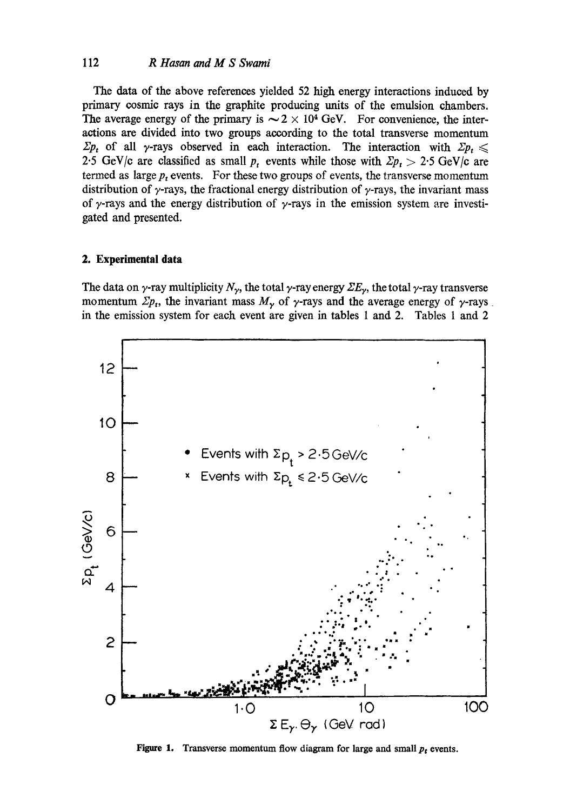# 112 *R Hasan and M S Swami*

The data of the above references yielded 52 high energy interactions induced by primary cosmic rays in the graphite producing units of the emulsion chambers. The average energy of the primary is  $\sim 2 \times 10^4$  GeV. For convenience, the interactions are divided into two groups according to the total transverse momentum  $\sum p_i$  of all y-rays observed in each interaction. The interaction with  $\sum p_i \leq$ 2.5 GeV/c are classified as small  $p_t$  events while those with  $\mathbb{Z}p_t > 2.5$  GeV/c are termed as large  $p_t$  events. For these two groups of events, the transverse momentum distribution of  $\gamma$ -rays, the fractional energy distribution of  $\gamma$ -rays, the invariant mass of  $\gamma$ -rays and the energy distribution of  $\gamma$ -rays in the emission system are investigated and presented.

#### **2. Experimental data**

The data on  $\gamma$ -ray multiplicity  $N_{\gamma}$ , the total  $\gamma$ -ray energy  $\Sigma E_{\gamma}$ , the total  $\gamma$ -ray transverse momentum  $\mathbb{Z}p_t$ , the invariant mass  $M_\gamma$  of  $\gamma$ -rays and the average energy of  $\gamma$ -rays. in the emission system for each event are given in tables 1 and 2. Tables 1 and 2



Figure 1. Transverse momentum flow diagram for large and small  $p_t$  events.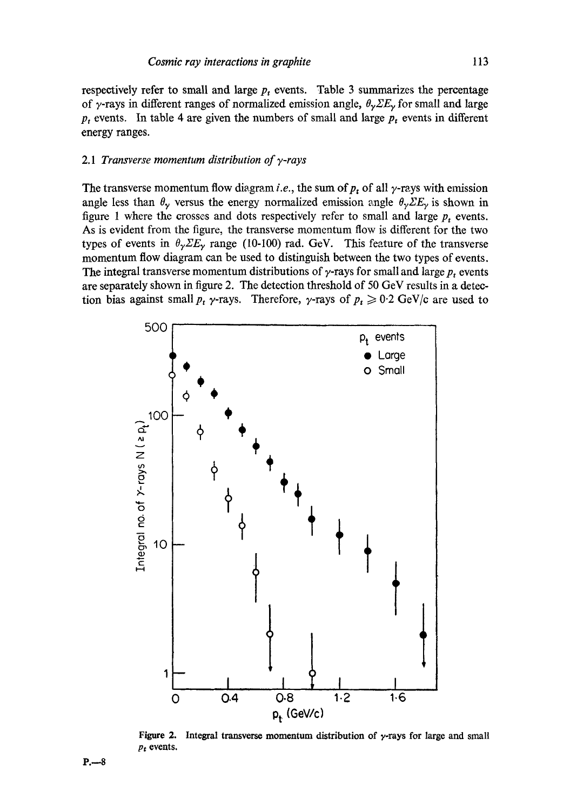respectively refer to small and large  $p_t$  events. Table 3 summarizes the percentage of  $\gamma$ -rays in different ranges of normalized emission angle,  $\theta_{\gamma}\Sigma E_{\gamma}$  for small and large  $p_t$  events. In table 4 are given the numbers of small and large  $p_t$  events in different energy ranges.

#### *2.1 Transverse momentum distribution of 7-rays*

The transverse momentum flow diagram *i.e.*, the sum of  $p_t$  of all  $\gamma$ -rays with emission angle less than  $\theta_{\gamma}$  versus the energy normalized emission angle  $\theta_{\gamma} \Sigma E_{\gamma}$  is shown in figure 1 where the crosses and dots respectively refer to small and large  $p_t$  events. As is evident from the figure, the transverse momentum flow is different for the two types of events in  $\theta_{\gamma} \Sigma E_{\gamma}$  range (10-100) rad. GeV. This feature of the transverse momentum flow diagram can be used to distinguish between the two types of events. The integral transverse momentum distributions of  $\gamma$ -rays for small and large  $p_t$  events are separately shown in figure 2. The detection threshold of 50 GeV results in a detection bias against small  $p_t$   $\gamma$ -rays. Therefore,  $\gamma$ -rays of  $p_t \geq 0.2$  GeV/c are used to



**Figure 2.**  *Pt* **events. Integral transverse momentum distribution of y-rays for large and small**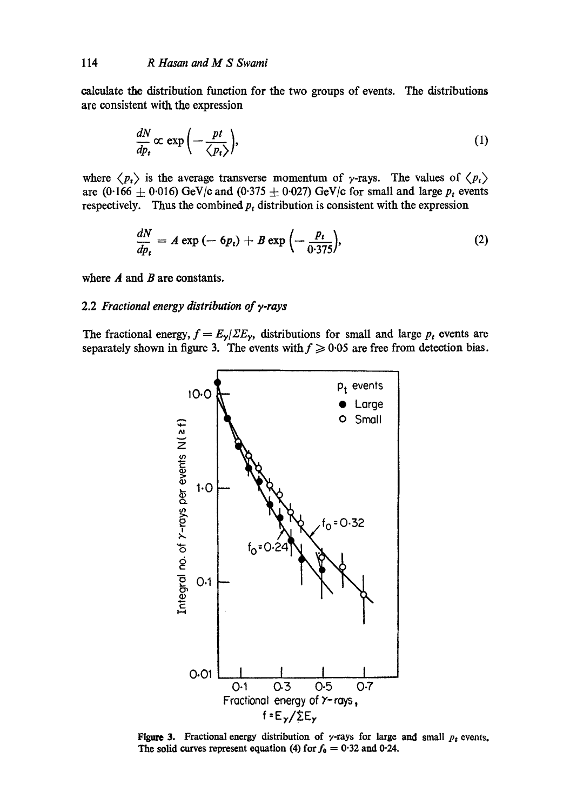calculate the distribution function for the two groups of events. The distributions are consistent with the expression

$$
\frac{dN}{dp_t} \propto \exp\left(-\frac{pt}{\langle p_t \rangle}\right),\tag{1}
$$

where  $\langle p_t \rangle$  is the average transverse momentum of  $\gamma$ -rays. The values of  $\langle p_t \rangle$ are (0.166  $\pm$  0.016) GeV/c and (0.375  $\pm$  0.027) GeV/c for small and large  $p_t$  events respectively. Thus the combined  $p_t$  distribution is consistent with the expression

$$
\frac{dN}{dp_t} = A \exp\left(-6p_t\right) + B \exp\left(-\frac{p_t}{0.375}\right),\tag{2}
$$

where  $A$  and  $B$  are constants.

# 2.2 *Fractional energy distribution of y-rays*

The fractional energy,  $f = E_{\gamma}/\Sigma E_{\gamma}$ , distributions for small and large  $p_t$  events are separately shown in figure 3. The events with  $f \ge 0.05$  are free from detection bias.



**Figure 3.** Fractional energy distribution of  $\gamma$ -rays for large and small  $p_t$  events, The solid curves represent equation (4) for  $f_0 = 0.32$  and 0.24.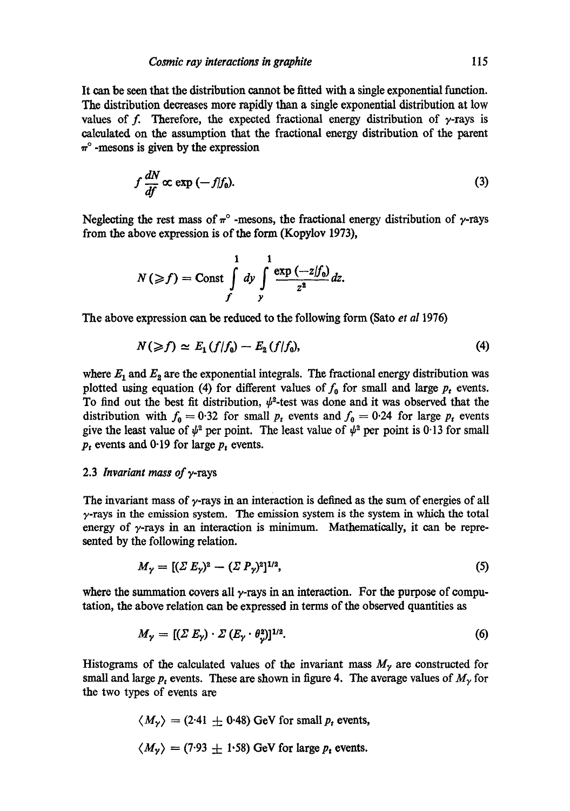It can be seen that the distribution cannot be fitted with a single exponential function. The distribution decreases more rapidly than a single exponential distribution at low values of f. Therefore, the expected fractional energy distribution of  $\gamma$ -rays is calculated on the assumption that the fractional energy distribution of the parent  $\pi^{\circ}$  -mesons is given by the expression

$$
f\frac{dN}{df} \propto \exp\left(-f/f_0\right). \tag{3}
$$

Neglecting the rest mass of  $\pi$ ° -mesons, the fractional energy distribution of  $\gamma$ -rays from the above expression is of the form (Kopylov 1973),

$$
N(\geqslant f)=\mathrm{Const}\int\limits_{f}^{1}dy\int\limits_{y}^{1}\frac{\exp\left(-z/f_{0}\right)}{z^{2}}dz.
$$

The above expression can be reduced to the following form (Sato *et al* 1976)

$$
N(\geqslant f)\simeq E_1(f/f_0)-E_2(f/f_0),\qquad \qquad (4)
$$

where  $E_1$  and  $E_2$  are the exponential integrals. The fractional energy distribution was plotted using equation (4) for different values of  $f_0$  for small and large  $p_t$  events. To find out the best fit distribution,  $\psi^2$ -test was done and it was observed that the distribution with  $f_0 = 0.32$  for small  $p_t$  events and  $f_0 = 0.24$  for large  $p_t$  events give the least value of  $\psi^2$  per point. The least value of  $\psi^2$  per point is 0.13 for small  $p_t$  events and 0.19 for large  $p_t$  events.

#### 2.3 *lnvariant mass of* v-rays

The invariant mass of  $\gamma$ -rays in an interaction is defined as the sum of energies of all  $\gamma$ -rays in the emission system. The emission system is the system in which the total energy of  $\gamma$ -rays in an interaction is minimum. Mathematically, it can be represented by the following relation.

$$
M_{\gamma} = [(\Sigma E_{\gamma})^2 - (\Sigma P_{\gamma})^2]^{1/2}, \tag{5}
$$

where the summation covers all  $\gamma$ -rays in an interaction. For the purpose of computation, the above relation can be expressed in terms of the observed quantities as

$$
M_{\gamma} = [(\Sigma E_{\gamma}) \cdot \Sigma (E_{\gamma} \cdot \theta_{\gamma}^2)]^{1/2}.
$$
 (6)

Histograms of the calculated values of the invariant mass  $M<sub>\gamma</sub>$  are constructed for small and large  $p_t$  events. These are shown in figure 4. The average values of  $M_\gamma$  for the two types of events are

$$
\langle M_{\gamma} \rangle = (2.41 \pm 0.48)
$$
 GeV for small *p*<sub>t</sub> events,  
 $\langle M_{\gamma} \rangle = (7.93 \pm 1.58)$  GeV for large *p*<sub>t</sub> events.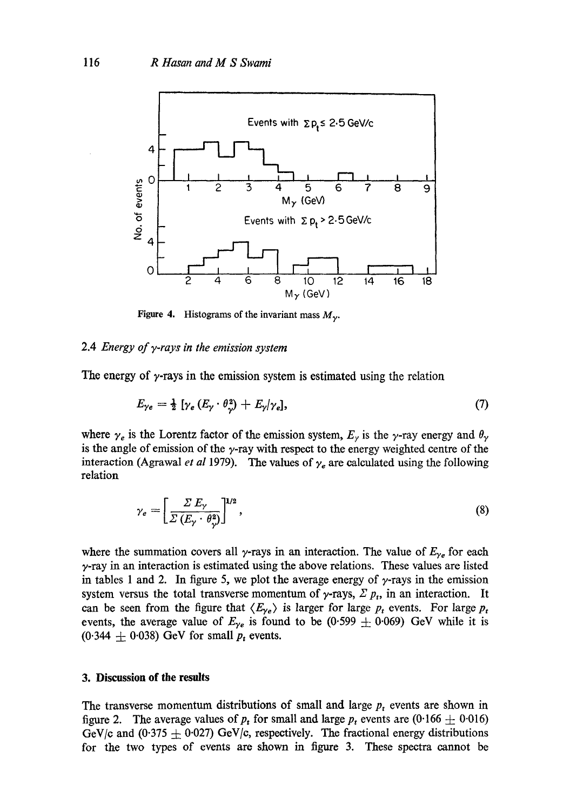

**Figure 4.** Histograms of the invariant mass  $M_{\gamma}$ .

## 2.4 *Energy of y-rays in the emission system*

The energy of  $\gamma$ -rays in the emission system is estimated using the relation

$$
E_{\gamma e} = \frac{1}{2} \left[ \gamma_e \left( E_\gamma \cdot \theta_\gamma^2 \right) + E_\gamma / \gamma_e \right],\tag{7}
$$

where  $\gamma_e$  is the Lorentz factor of the emission system,  $E_\gamma$  is the  $\gamma$ -ray energy and  $\theta_\gamma$ is the angle of emission of the  $\gamma$ -ray with respect to the energy weighted centre of the interaction (Agrawal *et al* 1979). The values of  $\gamma_e$  are calculated using the following relation

$$
\gamma_e = \left[ \frac{\Sigma E_\gamma}{\Sigma \left( E_\gamma \cdot \theta_\gamma^2 \right)} \right]^{1/2},\tag{8}
$$

where the summation covers all  $\gamma$ -rays in an interaction. The value of  $E_{\gamma_e}$  for each  $\gamma$ -ray in an interaction is estimated using the above relations. These values are listed in tables 1 and 2. In figure 5, we plot the average energy of  $\gamma$ -rays in the emission system versus the total transverse momentum of  $\gamma$ -rays,  $\Sigma$   $p_t$ , in an interaction. It can be seen from the figure that  $\langle E_{\gamma e} \rangle$  is larger for large  $p_t$  events. For large  $p_t$ events, the average value of  $E_{\gamma e}$  is found to be (0.599  $\pm$  0.069) GeV while it is  $(0.344 \pm 0.038)$  GeV for small  $p_t$  events.

## **3. Discussion of the results**

The transverse momentum distributions of small and large  $p_t$  events are shown in figure 2. The average values of  $p_t$  for small and large  $p_t$  events are (0.166  $\pm$  0.016) GeV/c and (0.375  $\pm$  0.027) GeV/c, respectively. The fractional energy distributions for the two types of events are shown in figure 3. These spectra cannot be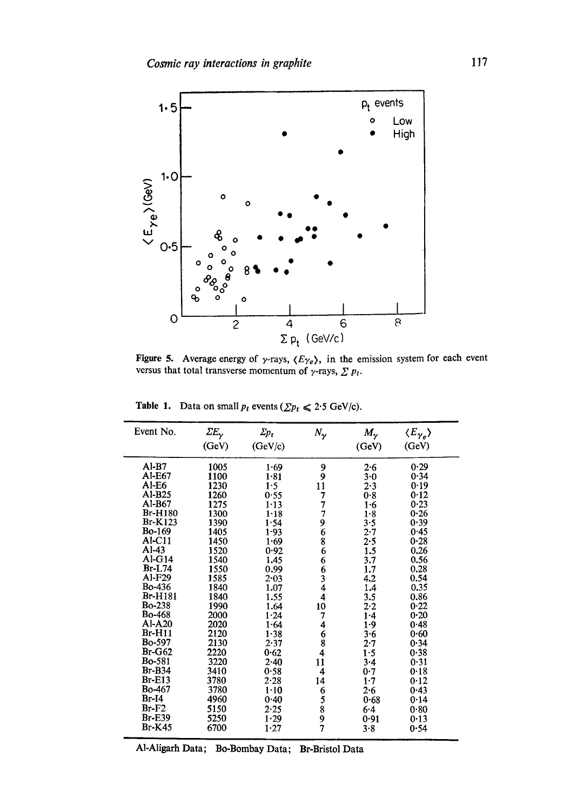

Figure 5. Average energy of  $\gamma$ -rays,  $\langle E_{\gamma} \rangle$ , in the emission system for each event versus that total transverse momentum of  $\gamma$ -rays,  $\sum p_i$ .

| Event No.      | $\mathit{\Sigma}E_\gamma$ | $\mathcal{Z}_{p_{t}}$ | $N_{\gamma}$                               | $M_{\gamma}$ | $\langle E_{\gamma_e} \rangle$ |  |
|----------------|---------------------------|-----------------------|--------------------------------------------|--------------|--------------------------------|--|
|                | (GeV)                     | (GeV/c)               |                                            | (GeV)        | (GeV)                          |  |
|                |                           |                       |                                            |              |                                |  |
| $AI-B7$        | 1005                      | 1.69                  | 9                                          | 2.6          | 0.29                           |  |
| Al-E67         | 1100                      | 1.81                  | 9                                          | 3.0          | 0.34                           |  |
| $AI-E6$        | 1230                      | 1.5                   | 11                                         | $2 - 3$      | 0.19                           |  |
| $AI-B25$       | 1260                      | 0.55                  | 7                                          | 0.8          | 0.12                           |  |
| Al-B67         | 1275                      | $1 - 13$              | 7                                          | 1.6          | 0.23                           |  |
| <b>Br-H180</b> | 1300                      | 1.18                  | 7                                          | 1.8          | 0.26                           |  |
| <b>Br-K123</b> | 1390                      | 1.54                  | 9                                          | 3.5          | 0.39                           |  |
| <b>Bo-169</b>  | 1405                      | $1 - 93$              |                                            | $2 - 7$      | 0.45                           |  |
| Al-C11         | 1450                      | 1.69                  | $\frac{6}{8}$                              | 2.5          | 0.28                           |  |
| $AI-43$        | 1520                      | 0.92                  | 6                                          | 1.5          | 0.26                           |  |
| $AI-G14$       | 1540                      | 1.45                  | 6                                          | 3.7          | 0.56                           |  |
| $Br-L74$       | 1550                      | 0.99                  |                                            | 1.7          | 0.28                           |  |
| A1-F29         | 1585                      | $2 - 03$              |                                            | 4.2          | 0.54                           |  |
| <b>Bo-436</b>  | 1840                      | 1.07                  | 6344                                       | 1.4          | 0.35                           |  |
| <b>Br-H181</b> | 1840                      | 1.55                  |                                            | 3.5          | 0.86                           |  |
| <b>Bo-238</b>  | 1990                      | 1.64                  | 10                                         | 2.2          | 0.22                           |  |
| <b>Bo-468</b>  | 2000                      | 1.24                  | 7                                          | $1 - 4$      | 0.20                           |  |
| Al-A20         | 2020                      | 1.64                  | 4                                          | $1-9$        | 0.48                           |  |
| $Br-H11$       | 2120                      | $1 - 38$              |                                            | 3.6          | 0.60                           |  |
| <b>Bo-597</b>  | 2130                      | 2.37                  | $\begin{array}{c} 6 \\ 8 \\ 4 \end{array}$ | $2 - 7$      | 0.34                           |  |
| $Br-G62$       | 2220                      | 0.62                  |                                            | 1.5          | 0.38                           |  |
| <b>Bo-581</b>  | 3220                      | $2 - 40$              | $1\dot{1}$                                 | 3.4          | 0.31                           |  |
| Br-B34         | 3410                      | 0.58                  | $\overline{4}$                             | 0.7          | 0.18                           |  |
| $Br-E13$       | 3780                      | 2.28                  | 14                                         | $1 - 7$      | 0.12                           |  |
| <b>Bo-467</b>  | 3780                      | $1 - 10$              | 6                                          | 2.6          | 0.43                           |  |
| $Br-I4$        | 4960                      | 0.40                  |                                            | 0.68         | 0.14                           |  |
| $Br-F2$        | 5150                      | 2.25                  | 5<br>8<br>9                                | $6 - 4$      | 0.80                           |  |
| <b>Br-E39</b>  | 5250                      | 1.29                  |                                            | 0.91         | 0.13                           |  |
| $Br-K45$       | 6700                      | 1.27                  | 7                                          | 3.8          | 0.54                           |  |
|                |                           |                       |                                            |              |                                |  |

Table 1. Data on small  $p_t$  events  $(\sum p_t \leq 2.5 \text{ GeV/c})$ .

A1-Aligarh Data; ]]o-Bombay Data; Br-Bristol Data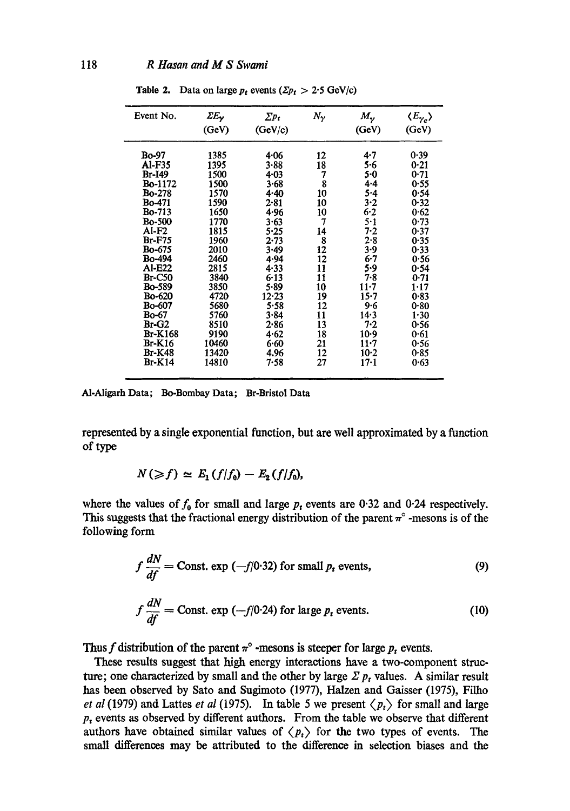| Event No.      | ΣΕγ   | $\sum p_t$ | $N_{\gamma}$ | $M_{\gamma}$ | $\langle E_{\gamma_e} \rangle$ |
|----------------|-------|------------|--------------|--------------|--------------------------------|
|                | (GeV) | (GeV/c)    |              | (GeV)        | (GeV)                          |
| Bo-97          | 1385  | 4.06       | 12           | 4.7          | 0.39                           |
| Al-F35         | 1395  | $3 - 88$   | 18           | 5.6          | 0.21                           |
| Br-149         | 1500  | 4.03       | 7            | 5.0          | 0.71                           |
| <b>Bo-1172</b> | 1500  | 3.68       | 8            | $4 - 4$      | 0.55                           |
| <b>Bo-278</b>  | 1570  | 4.40       | 10           | 5.4          | 0.54                           |
| <b>Bo-471</b>  | 1590  | $2 - 81$   | 10           | 3.2          | 0.32                           |
| <b>Bo-713</b>  | 1650  | 4.96       | 10           | $6 - 2$      | 0.62                           |
| <b>Bo-500</b>  | 1770  | 3.63       | 7            | $5-1$        | 0.73                           |
| Al-F2          | 1815  | 5.25       | 14           | $7 - 2$      | 0.37                           |
| <b>Br-F75</b>  | 1960  | 2.73       | 8            | 2.8          | 0.35                           |
| <b>Bo-675</b>  | 2010  | 3.49       | 12           | 3.9          | 0.33                           |
| <b>Bo-494</b>  | 2460  | 4.94       | 12           | 6.7          | 0.56                           |
| Al-E22         | 2815  | 4.33       | 11           | 5.9          | 0.54                           |
| <b>Br-C50</b>  | 3840  | 6.13       | 11           | 7.8          | 0.71                           |
| <b>Bo-589</b>  | 3850  | 5.89       | 10           | $11 - 7$     | 1.17                           |
| <b>Bo-620</b>  | 4720  | 12.23      | 19           | $15 - 7$     | 0.83                           |
| <b>Bo-607</b>  | 5680  | 5.58       | 12           | $9 - 6$      | 0.80                           |
| Bo-67          | 5760  | 3.84       | 11           | 14.3         | 1.30                           |
| Br-G2          | 8510  | 2.86       | 13           | 7.2          | 0.56                           |
| <b>Br-K168</b> | 9190  | 4.62       | 18           | $10-9$       | 0.61                           |
| $Br-K16$       | 10460 | 6.60       | 21           | $11 - 7$     | 0.56                           |
| <b>Br-K48</b>  | 13420 | 4.96       | 12           | $10-2$       | 0.85                           |
| <b>Br-K14</b>  | 14810 | 7.58       | 27           | $17 - 1$     | 0.63                           |

Table 2. Data on large  $p_t$  events  $(\Sigma p_t > 2.5 \text{ GeV/c})$ 

AI-Aligarh Data; Be-Bombay Data; Br-Bristol Data

represented by a single exponential function, but are well approximated by a function of type

$$
N(\geqslant f)\simeq E_1(f/f_0)-E_2(f/f_0),
$$

where the values of  $f_0$  for small and large  $p_t$  events are 0.32 and 0.24 respectively. This suggests that the fractional energy distribution of the parent  $\pi^{\circ}$  -mesons is of the following form

$$
f\frac{dN}{df} = \text{Const.} \exp(-f/0.32) \text{ for small } p_t \text{ events},\tag{9}
$$

$$
f\frac{dN}{df} = \text{Const.} \exp(-f/0.24) \text{ for large } p_t \text{ events.}
$$
 (10)

Thus f distribution of the parent  $\pi^{\circ}$  -mesons is steeper for large  $p_t$  events.

These results suggest that high energy interactions have a two-component structure; one characterized by small and the other by large  $\Sigma p_t$  values. A similar result has been observed by Sate and Sugimoto (1977), Halzen and Gaisser (1975), Filho *et al* (1979) and Lattes *et al* (1975). In table 5 we present  $\langle p_t \rangle$  for small and large  $p_t$  events as observed by different authors. From the table we observe that different authors have obtained similar values of  $\langle p_t \rangle$  for the two types of events. The small differences may be attributed to the difference in selection biases and the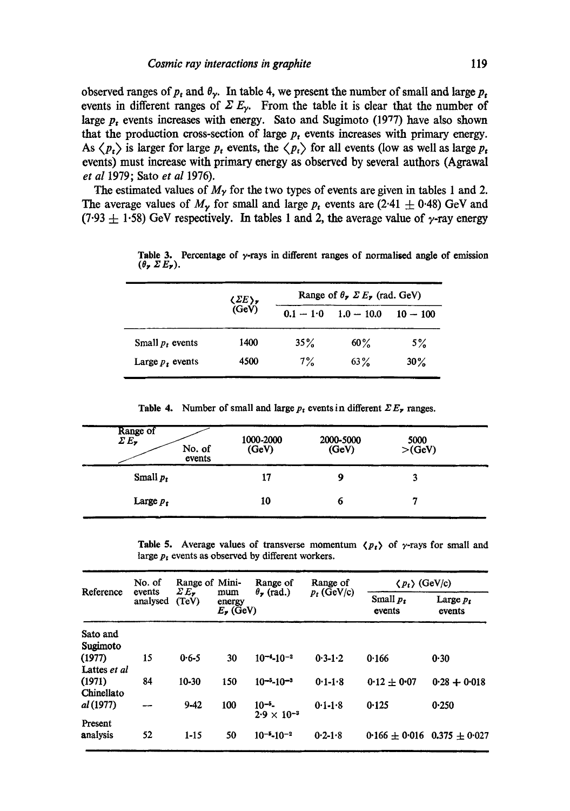observed ranges of  $p_t$  and  $\theta_{\gamma}$ . In table 4, we present the number of small and large  $p_t$ events in different ranges of  $\Sigma E_y$ . From the table it is clear that the number of large  $p_t$  events increases with energy. Sato and Sugimoto (1977) have also shown that the production cross-section of large  $p_t$  events increases with primary energy. As  $\langle p_t \rangle$  is larger for large  $p_t$  events, the  $\langle p_t \rangle$  for all events (low as well as large  $p_t$ events) must increase with primary energy as observed by several authors (Agrawal *et al* 1979; Sato *et al* 1976).

The estimated values of  $M<sub>y</sub>$  for the two types of events are given in tables 1 and 2. The average values of  $M_{\nu}$  for small and large  $p_t$  events are (2.41  $\pm$  0.48) GeV and (7.93  $\pm$  1.58) GeV respectively. In tables 1 and 2, the average value of y-ray energy

|                    | $\langle \Sigma E \rangle$<br>(GeV) | Range of $\theta$ , $\Sigma E$ , (rad. GeV) |              |            |  |  |
|--------------------|-------------------------------------|---------------------------------------------|--------------|------------|--|--|
|                    |                                     | $0.1 - 1.0$                                 | $1.0 - 10.0$ | $10 - 100$ |  |  |
| Small $p_t$ events | 1400                                | 35%                                         | $60\%$       | $5\%$      |  |  |
| Large $p_t$ events | 4500                                | $7\%$                                       | $63\%$       | $30\%$     |  |  |

Table 3. Percentage of y-rays in different ranges of normalised angle of emission  $(\theta_\mathbf{z} \Sigma E_\mathbf{z}).$ 

Table 4. Number of small and large  $p_t$  events in different  $\sum E_r$  ranges.

| Range of<br>$\mathcal{L} E_{\mathbf{z}}$<br>No. of<br>events | 1000-2000<br>(GeV) | 2000-5000<br>(GeV) | 5000<br>>(GeV) |
|--------------------------------------------------------------|--------------------|--------------------|----------------|
| Small $p_t$                                                  | 17                 | 9                  |                |
| Large $p_t$                                                  | 10                 | o                  |                |

Table 5. Average values of transverse momentum  $\langle p_t \rangle$  of  $\gamma$ -rays for small and large  $p_t$  events as observed by different workers.

| Reference    | No. of<br>events<br>analysed | Range of Mini-<br>$\mathcal{E}E_{\bullet}$<br>(TeV) |                                                            | Range of                          | Range of      | $\langle p_t \rangle$ (GeV/c) |                                     |
|--------------|------------------------------|-----------------------------------------------------|------------------------------------------------------------|-----------------------------------|---------------|-------------------------------|-------------------------------------|
|              |                              |                                                     | $\theta_{\tau}$ (rad.)<br>mum<br>energy<br>$E_{\nu}$ (GeV) |                                   | $p_t$ (GeV/c) | Small $p_{\tau}$<br>events    | Large $p_t$<br>events               |
| Sato and     |                              |                                                     |                                                            |                                   |               |                               |                                     |
| Sugimoto     |                              |                                                     |                                                            |                                   |               |                               |                                     |
| (1977)       | 15                           | $0.6 - 5$                                           | 30                                                         | $10^{-4} - 10^{-2}$               | $0.3 - 1.2$   | 0.166                         | 0.30                                |
| Lattes et al |                              |                                                     |                                                            |                                   |               |                               |                                     |
| (1971)       | 84                           | $10 - 30$                                           | 150                                                        | $10-5$ -10 <sup>-3</sup>          | $0.1 - 1.8$   | $0.12 \pm 0.07$               | $0.28 + 0.018$                      |
| Chinellato   |                              |                                                     |                                                            |                                   |               |                               |                                     |
| al (1977)    |                              | $9 - 42$                                            | 100                                                        | $10^{-5}$<br>$2.9 \times 10^{-3}$ | $0.1 - 1.8$   | 0.125                         | 0.250                               |
| Present      |                              |                                                     |                                                            |                                   |               |                               |                                     |
| analysis     | 52                           | $1 - 15$                                            | 50                                                         | $10^{-5} - 10^{-2}$               | $0.2 - 1.8$   |                               | 0.166 $\pm$ 0.016 0.375 $\pm$ 0.027 |
|              |                              |                                                     |                                                            |                                   |               |                               |                                     |